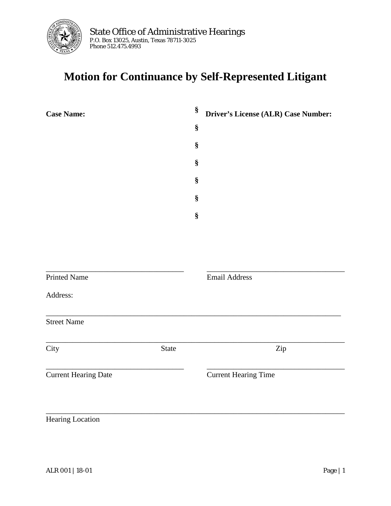

## **Motion for Continuance by Self-Represented Litigant**

| <b>Case Name:</b>           |              | §    | Driver's License (ALR) Case Number: |
|-----------------------------|--------------|------|-------------------------------------|
|                             |              | $\S$ |                                     |
|                             |              | $\S$ |                                     |
|                             |              | $\S$ |                                     |
|                             |              | $\S$ |                                     |
|                             |              | $\S$ |                                     |
|                             |              | $\S$ |                                     |
|                             |              |      |                                     |
|                             |              |      |                                     |
|                             |              |      |                                     |
| <b>Printed Name</b>         |              |      | <b>Email Address</b>                |
| Address:                    |              |      |                                     |
| <b>Street Name</b>          |              |      |                                     |
| City                        | <b>State</b> |      | Zip                                 |
| <b>Current Hearing Date</b> |              |      | <b>Current Hearing Time</b>         |
|                             |              |      |                                     |
| Hearing Location            |              |      |                                     |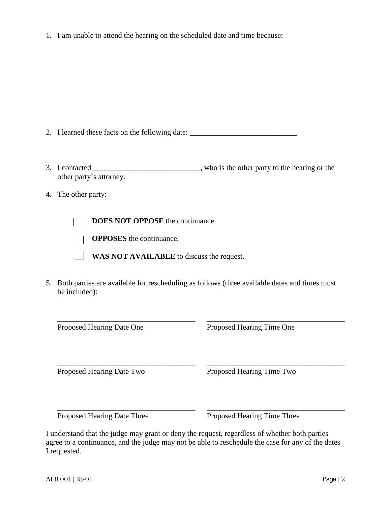1. I am unable to attend the hearing on the scheduled date and time because:

2. I learned these facts on the following date:

- 3. I contacted \_\_\_\_\_\_\_\_\_\_\_\_\_\_\_\_\_\_\_\_\_\_\_\_\_\_\_\_, who is the other party to the hearing or the other party's attorney.
- 4. The other party:

**DOES NOT OPPOSE** the continuance.

**OPPOSES** the continuance.

**WAS NOT AVAILABLE** to discuss the request.

5. Both parties are available for rescheduling as follows (three available dates and times must be included):

\_\_\_\_\_\_\_\_\_\_\_\_\_\_\_\_\_\_\_\_\_\_\_\_\_\_\_\_\_\_\_\_\_\_\_\_ \_\_\_\_\_\_\_\_\_\_\_\_\_\_\_\_\_\_\_\_\_\_\_\_\_\_\_\_\_\_\_\_\_\_\_\_ Proposed Hearing Date One Proposed Hearing Time One \_\_\_\_\_\_\_\_\_\_\_\_\_\_\_\_\_\_\_\_\_\_\_\_\_\_\_\_\_\_\_\_\_\_\_\_ \_\_\_\_\_\_\_\_\_\_\_\_\_\_\_\_\_\_\_\_\_\_\_\_\_\_\_\_\_\_\_\_\_\_\_\_ Proposed Hearing Date Two Proposed Hearing Time Two \_\_\_\_\_\_\_\_\_\_\_\_\_\_\_\_\_\_\_\_\_\_\_\_\_\_\_\_\_\_\_\_\_\_\_\_ \_\_\_\_\_\_\_\_\_\_\_\_\_\_\_\_\_\_\_\_\_\_\_\_\_\_\_\_\_\_\_\_\_\_\_\_ Proposed Hearing Date Three Proposed Hearing Time Three

I understand that the judge may grant or deny the request, regardless of whether both parties agree to a continuance, and the judge may not be able to reschedule the case for any of the dates I requested.